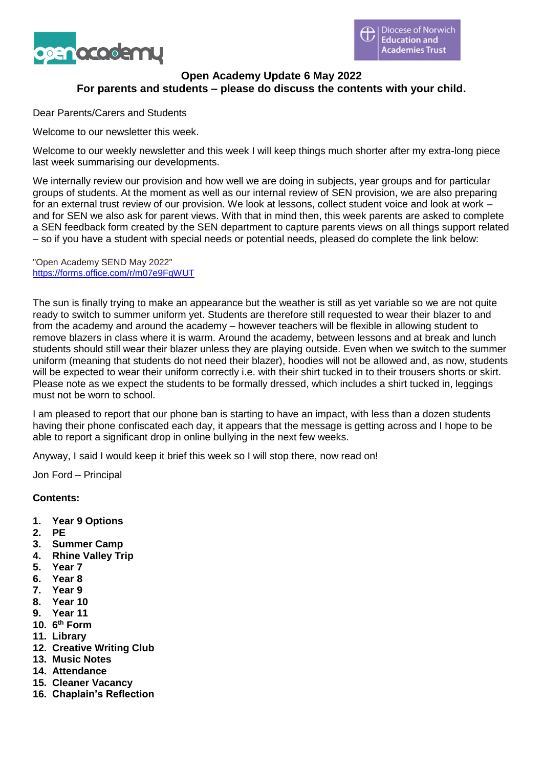

## **Open Academy Update 6 May 2022 For parents and students – please do discuss the contents with your child.**

Dear Parents/Carers and Students

Welcome to our newsletter this week.

Welcome to our weekly newsletter and this week I will keep things much shorter after my extra-long piece last week summarising our developments.

We internally review our provision and how well we are doing in subjects, year groups and for particular groups of students. At the moment as well as our internal review of SEN provision, we are also preparing for an external trust review of our provision. We look at lessons, collect student voice and look at work – and for SEN we also ask for parent views. With that in mind then, this week parents are asked to complete a SEN feedback form created by the SEN department to capture parents views on all things support related – so if you have a student with special needs or potential needs, pleased do complete the link below:

"Open Academy SEND May 2022" <https://forms.office.com/r/m07e9FqWUT>

The sun is finally trying to make an appearance but the weather is still as yet variable so we are not quite ready to switch to summer uniform yet. Students are therefore still requested to wear their blazer to and from the academy and around the academy – however teachers will be flexible in allowing student to remove blazers in class where it is warm. Around the academy, between lessons and at break and lunch students should still wear their blazer unless they are playing outside. Even when we switch to the summer uniform (meaning that students do not need their blazer), hoodies will not be allowed and, as now, students will be expected to wear their uniform correctly i.e. with their shirt tucked in to their trousers shorts or skirt. Please note as we expect the students to be formally dressed, which includes a shirt tucked in, leggings must not be worn to school.

I am pleased to report that our phone ban is starting to have an impact, with less than a dozen students having their phone confiscated each day, it appears that the message is getting across and I hope to be able to report a significant drop in online bullying in the next few weeks.

Anyway, I said I would keep it brief this week so I will stop there, now read on!

Jon Ford – Principal

**Contents:**

- **1. Year 9 Options**
- **2. PE**
- **3. Summer Camp**
- **4. Rhine Valley Trip**
- **5. Year 7**
- **6. Year 8**
- **7. Year 9**
- **8. Year 10**
- **9. Year 11**
- **10. 6 th Form**
- **11. Library**
- **12. Creative Writing Club**
- **13. Music Notes**
- **14. Attendance**
- **15. Cleaner Vacancy**
- **16. Chaplain's Reflection**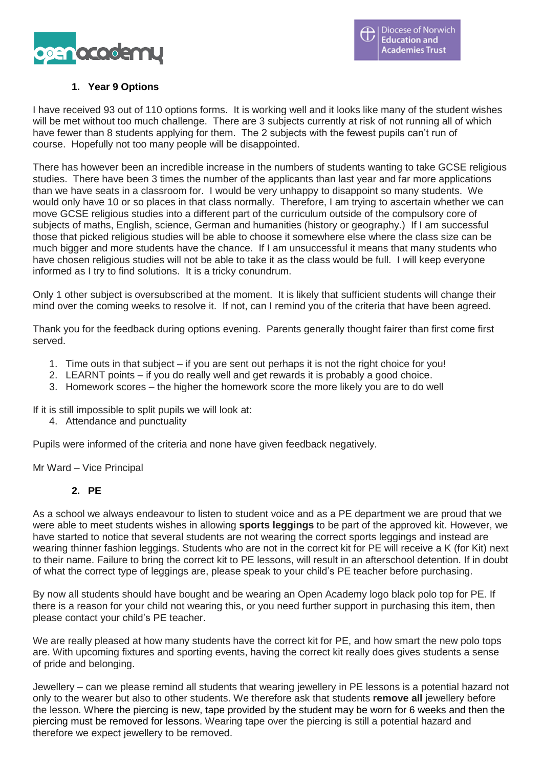

# **1. Year 9 Options**

I have received 93 out of 110 options forms. It is working well and it looks like many of the student wishes will be met without too much challenge. There are 3 subjects currently at risk of not running all of which have fewer than 8 students applying for them. The 2 subjects with the fewest pupils can't run of course. Hopefully not too many people will be disappointed.

There has however been an incredible increase in the numbers of students wanting to take GCSE religious studies. There have been 3 times the number of the applicants than last year and far more applications than we have seats in a classroom for. I would be very unhappy to disappoint so many students. We would only have 10 or so places in that class normally. Therefore, I am trying to ascertain whether we can move GCSE religious studies into a different part of the curriculum outside of the compulsory core of subjects of maths, English, science, German and humanities (history or geography.) If I am successful those that picked religious studies will be able to choose it somewhere else where the class size can be much bigger and more students have the chance. If I am unsuccessful it means that many students who have chosen religious studies will not be able to take it as the class would be full. I will keep everyone informed as I try to find solutions. It is a tricky conundrum.

Only 1 other subject is oversubscribed at the moment. It is likely that sufficient students will change their mind over the coming weeks to resolve it. If not, can I remind you of the criteria that have been agreed.

Thank you for the feedback during options evening. Parents generally thought fairer than first come first served.

- 1. Time outs in that subject if you are sent out perhaps it is not the right choice for you!
- 2. LEARNT points if you do really well and get rewards it is probably a good choice.
- 3. Homework scores the higher the homework score the more likely you are to do well

If it is still impossible to split pupils we will look at:

4. Attendance and punctuality

Pupils were informed of the criteria and none have given feedback negatively.

Mr Ward – Vice Principal

## **2. PE**

As a school we always endeavour to listen to student voice and as a PE department we are proud that we were able to meet students wishes in allowing **sports leggings** to be part of the approved kit. However, we have started to notice that several students are not wearing the correct sports leggings and instead are wearing thinner fashion leggings. Students who are not in the correct kit for PE will receive a K (for Kit) next to their name. Failure to bring the correct kit to PE lessons, will result in an afterschool detention. If in doubt of what the correct type of leggings are, please speak to your child's PE teacher before purchasing.

By now all students should have bought and be wearing an Open Academy logo black polo top for PE. If there is a reason for your child not wearing this, or you need further support in purchasing this item, then please contact your child's PE teacher.

We are really pleased at how many students have the correct kit for PE, and how smart the new polo tops are. With upcoming fixtures and sporting events, having the correct kit really does gives students a sense of pride and belonging.

Jewellery – can we please remind all students that wearing jewellery in PE lessons is a potential hazard not only to the wearer but also to other students. We therefore ask that students **remove all** jewellery before the lesson. Where the piercing is new, tape provided by the student may be worn for 6 weeks and then the piercing must be removed for lessons. Wearing tape over the piercing is still a potential hazard and therefore we expect jewellery to be removed.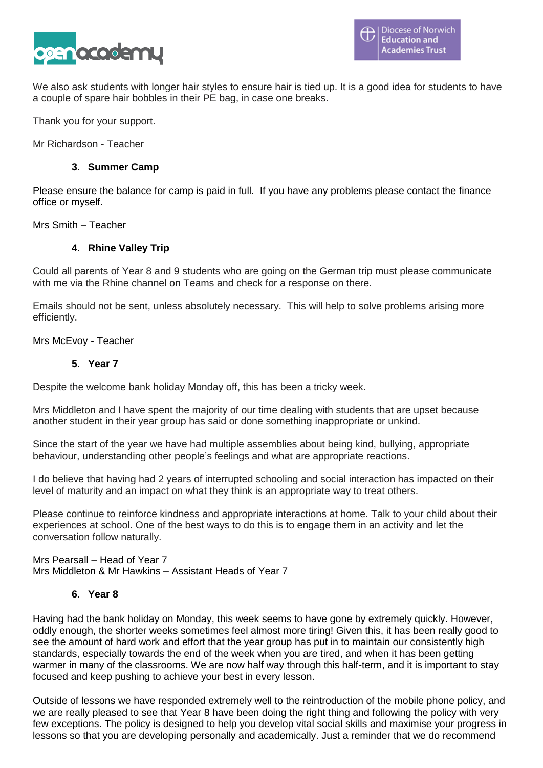

We also ask students with longer hair styles to ensure hair is tied up. It is a good idea for students to have a couple of spare hair bobbles in their PE bag, in case one breaks.

Thank you for your support.

Mr Richardson - Teacher

## **3. Summer Camp**

Please ensure the balance for camp is paid in full. If you have any problems please contact the finance office or myself.

Mrs Smith – Teacher

## **4. Rhine Valley Trip**

Could all parents of Year 8 and 9 students who are going on the German trip must please communicate with me via the Rhine channel on Teams and check for a response on there.

Emails should not be sent, unless absolutely necessary. This will help to solve problems arising more efficiently.

Mrs McEvoy - Teacher

### **5. Year 7**

Despite the welcome bank holiday Monday off, this has been a tricky week.

Mrs Middleton and I have spent the majority of our time dealing with students that are upset because another student in their year group has said or done something inappropriate or unkind.

Since the start of the year we have had multiple assemblies about being kind, bullying, appropriate behaviour, understanding other people's feelings and what are appropriate reactions.

I do believe that having had 2 years of interrupted schooling and social interaction has impacted on their level of maturity and an impact on what they think is an appropriate way to treat others.

Please continue to reinforce kindness and appropriate interactions at home. Talk to your child about their experiences at school. One of the best ways to do this is to engage them in an activity and let the conversation follow naturally.

Mrs Pearsall – Head of Year 7 Mrs Middleton & Mr Hawkins – Assistant Heads of Year 7

## **6. Year 8**

Having had the bank holiday on Monday, this week seems to have gone by extremely quickly. However, oddly enough, the shorter weeks sometimes feel almost more tiring! Given this, it has been really good to see the amount of hard work and effort that the year group has put in to maintain our consistently high standards, especially towards the end of the week when you are tired, and when it has been getting warmer in many of the classrooms. We are now half way through this half-term, and it is important to stay focused and keep pushing to achieve your best in every lesson.

Outside of lessons we have responded extremely well to the reintroduction of the mobile phone policy, and we are really pleased to see that Year 8 have been doing the right thing and following the policy with very few exceptions. The policy is designed to help you develop vital social skills and maximise your progress in lessons so that you are developing personally and academically. Just a reminder that we do recommend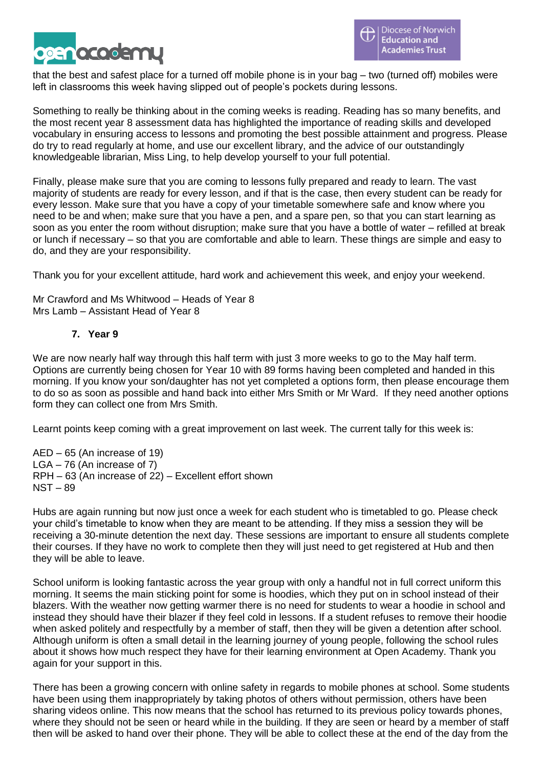

that the best and safest place for a turned off mobile phone is in your bag – two (turned off) mobiles were left in classrooms this week having slipped out of people's pockets during lessons.

Something to really be thinking about in the coming weeks is reading. Reading has so many benefits, and the most recent year 8 assessment data has highlighted the importance of reading skills and developed vocabulary in ensuring access to lessons and promoting the best possible attainment and progress. Please do try to read regularly at home, and use our excellent library, and the advice of our outstandingly knowledgeable librarian, Miss Ling, to help develop yourself to your full potential.

Finally, please make sure that you are coming to lessons fully prepared and ready to learn. The vast majority of students are ready for every lesson, and if that is the case, then every student can be ready for every lesson. Make sure that you have a copy of your timetable somewhere safe and know where you need to be and when; make sure that you have a pen, and a spare pen, so that you can start learning as soon as you enter the room without disruption; make sure that you have a bottle of water – refilled at break or lunch if necessary – so that you are comfortable and able to learn. These things are simple and easy to do, and they are your responsibility.

Thank you for your excellent attitude, hard work and achievement this week, and enjoy your weekend.

Mr Crawford and Ms Whitwood – Heads of Year 8 Mrs Lamb – Assistant Head of Year 8

## **7. Year 9**

We are now nearly half way through this half term with just 3 more weeks to go to the May half term. Options are currently being chosen for Year 10 with 89 forms having been completed and handed in this morning. If you know your son/daughter has not yet completed a options form, then please encourage them to do so as soon as possible and hand back into either Mrs Smith or Mr Ward. If they need another options form they can collect one from Mrs Smith.

Learnt points keep coming with a great improvement on last week. The current tally for this week is:

AED – 65 (An increase of 19) LGA – 76 (An increase of 7) RPH – 63 (An increase of 22) – Excellent effort shown NST – 89

Hubs are again running but now just once a week for each student who is timetabled to go. Please check your child's timetable to know when they are meant to be attending. If they miss a session they will be receiving a 30-minute detention the next day. These sessions are important to ensure all students complete their courses. If they have no work to complete then they will just need to get registered at Hub and then they will be able to leave.

School uniform is looking fantastic across the year group with only a handful not in full correct uniform this morning. It seems the main sticking point for some is hoodies, which they put on in school instead of their blazers. With the weather now getting warmer there is no need for students to wear a hoodie in school and instead they should have their blazer if they feel cold in lessons. If a student refuses to remove their hoodie when asked politely and respectfully by a member of staff, then they will be given a detention after school. Although uniform is often a small detail in the learning journey of young people, following the school rules about it shows how much respect they have for their learning environment at Open Academy. Thank you again for your support in this.

There has been a growing concern with online safety in regards to mobile phones at school. Some students have been using them inappropriately by taking photos of others without permission, others have been sharing videos online. This now means that the school has returned to its previous policy towards phones, where they should not be seen or heard while in the building. If they are seen or heard by a member of staff then will be asked to hand over their phone. They will be able to collect these at the end of the day from the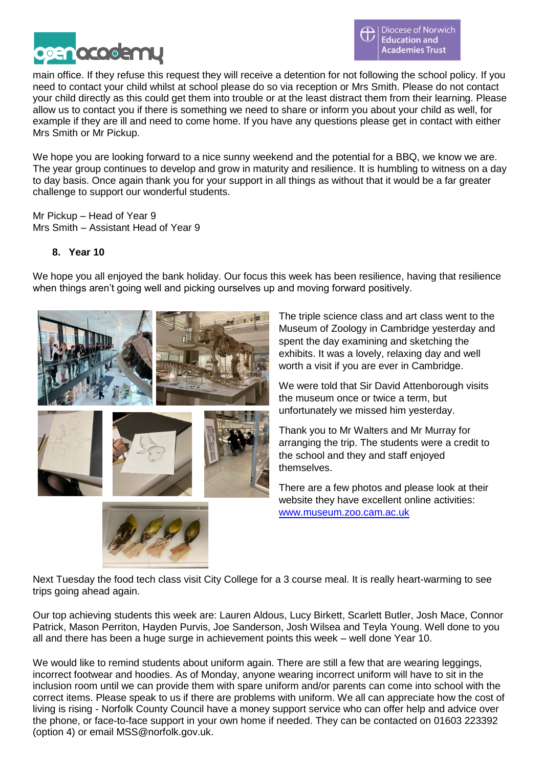

main office. If they refuse this request they will receive a detention for not following the school policy. If you need to contact your child whilst at school please do so via reception or Mrs Smith. Please do not contact your child directly as this could get them into trouble or at the least distract them from their learning. Please allow us to contact you if there is something we need to share or inform you about your child as well, for example if they are ill and need to come home. If you have any questions please get in contact with either Mrs Smith or Mr Pickup.

We hope you are looking forward to a nice sunny weekend and the potential for a BBQ, we know we are. The year group continues to develop and grow in maturity and resilience. It is humbling to witness on a day to day basis. Once again thank you for your support in all things as without that it would be a far greater challenge to support our wonderful students.

Mr Pickup – Head of Year 9 Mrs Smith – Assistant Head of Year 9

## **8. Year 10**

We hope you all enjoyed the bank holiday. Our focus this week has been resilience, having that resilience when things aren't going well and picking ourselves up and moving forward positively.





The triple science class and art class went to the Museum of Zoology in Cambridge yesterday and spent the day examining and sketching the exhibits. It was a lovely, relaxing day and well worth a visit if you are ever in Cambridge.

We were told that Sir David Attenborough visits the museum once or twice a term, but unfortunately we missed him yesterday.

Thank you to Mr Walters and Mr Murray for arranging the trip. The students were a credit to the school and they and staff enjoyed themselves.

There are a few photos and please look at their website they have excellent online activities: [www.museum.zoo.cam.ac.uk](http://www.museum.zoo.cam.ac.uk/)

Next Tuesday the food tech class visit City College for a 3 course meal. It is really heart-warming to see trips going ahead again.

Our top achieving students this week are: Lauren Aldous, Lucy Birkett, Scarlett Butler, Josh Mace, Connor Patrick, Mason Perriton, Hayden Purvis, Joe Sanderson, Josh Wilsea and Teyla Young. Well done to you all and there has been a huge surge in achievement points this week – well done Year 10.

We would like to remind students about uniform again. There are still a few that are wearing leggings, incorrect footwear and hoodies. As of Monday, anyone wearing incorrect uniform will have to sit in the inclusion room until we can provide them with spare uniform and/or parents can come into school with the correct items. Please speak to us if there are problems with uniform. We all can appreciate how the cost of living is rising - Norfolk County Council have a money support service who can offer help and advice over the phone, or face-to-face support in your own home if needed. They can be contacted on 01603 223392 (option 4) or email MSS@norfolk.gov.uk.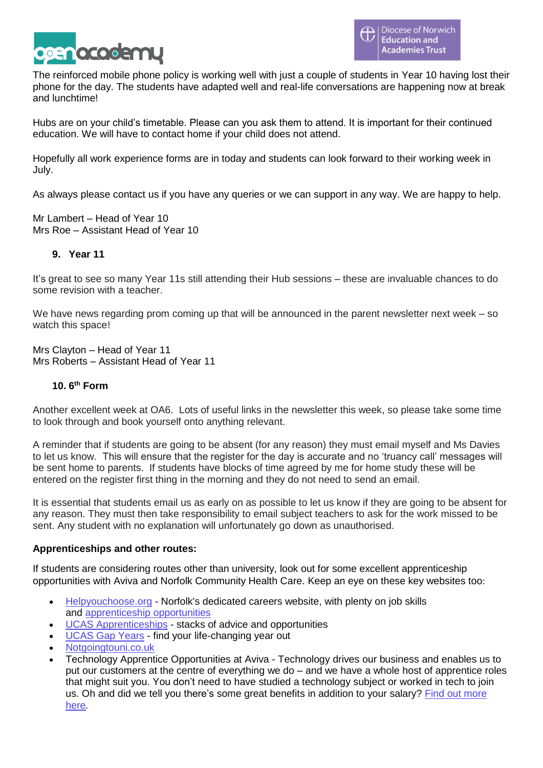

The reinforced mobile phone policy is working well with just a couple of students in Year 10 having lost their phone for the day. The students have adapted well and real-life conversations are happening now at break and lunchtime!

Hubs are on your child's timetable. Please can you ask them to attend. It is important for their continued education. We will have to contact home if your child does not attend.

Hopefully all work experience forms are in today and students can look forward to their working week in July.

As always please contact us if you have any queries or we can support in any way. We are happy to help.

Mr Lambert – Head of Year 10 Mrs Roe – Assistant Head of Year 10

## **9. Year 11**

It's great to see so many Year 11s still attending their Hub sessions – these are invaluable chances to do some revision with a teacher.

We have news regarding prom coming up that will be announced in the parent newsletter next week – so watch this space!

Mrs Clayton – Head of Year 11 Mrs Roberts – Assistant Head of Year 11

## **10. 6 th Form**

Another excellent week at OA6. Lots of useful links in the newsletter this week, so please take some time to look through and book yourself onto anything relevant.

A reminder that if students are going to be absent (for any reason) they must email myself and Ms Davies to let us know. This will ensure that the register for the day is accurate and no 'truancy call' messages will be sent home to parents. If students have blocks of time agreed by me for home study these will be entered on the register first thing in the morning and they do not need to send an email.

It is essential that students email us as early on as possible to let us know if they are going to be absent for any reason. They must then take responsibility to email subject teachers to ask for the work missed to be sent. Any student with no explanation will unfortunately go down as unauthorised.

## **Apprenticeships and other routes:**

If students are considering routes other than university, look out for some excellent apprenticeship opportunities with Aviva and Norfolk Community Health Care. Keep an eye on these key websites too:

- [Helpyouchoose.org](https://www.norfolk.gov.uk/sitecore%20modules/Web/EXM/RedirectUrlPage.aspx?ec_eq=V5xq8MhTdC9Dcmit%2bloCkN5ldjvwsW8Sn3EUFIhOjtBKn3fgMqqxDLDnxov9LiQFLXWDxHCBkPWAL4SOCGljGRegX2Ss25b5%2b6xqgYsG8FHlpRaEDk1wBHw%2bWtVdVatlHbcswHMrv2r%2b5%2bxdxURayhBP4qhL4CPxMQrivjkMYlhadf%2fkrs4aQibylHv7hF0cJjwOGmot1kPVo05r86Id14KYUP0NHs%2biy8vDWkkIbfkwCzwAOQ%2bPg6p%2bTtDIzBLWg%2bHrlkt9QheW%2f7e%2bhrl9Tq7cZfC8OwdB338Tw%2bYTM%2fsbTbYvN9YMBrqe7K1TLYEx) Norfolk's dedicated careers website, with plenty on job skills and [apprenticeship](https://www.norfolk.gov.uk/sitecore%20modules/Web/EXM/RedirectUrlPage.aspx?ec_eq=eLdm820AqwMTfic6IaLOlmrvKlDsXj12pOIK8oQOiIAf%2fMXc3TuPrF2bEfXLv7LJvTRLJFCmWFkjA7gOOKR%2farcD%2bsseZcbVx7jFXaavv6Yvj8xYX8EbDpw%2bKL6FnJzNO2hc%2fHpWpgGRxzkhFDUFgykQc0OOAs4cejGvidLTnWGx6YViCHulsW0vCjPyQK3z5V1YcCoE%2betyglpLNHlLiJyl%2fXeKJqp7jsWkoBhaFdVbKita1P7%2bKAjkj3yQciziYsBeuMy21vcpzYbT7Ujl49tBIHjgkd52RkDR1q8Ovd2qh4NXT%2fOdB7%2frWxcfrVW%2fQ20SdF0mn2tLfv91INjoK%2fX9TFmdgue9W89IUq9RR9IHzpuVcZGsmQbcLs0tOu0I1%2f%2fKg6%2f6wVMnp%2fhEuvwPIQ%3d%3d) opportunities
- UCAS [Apprenticeships](https://www.norfolk.gov.uk/sitecore%20modules/Web/EXM/RedirectUrlPage.aspx?ec_eq=01oWwaKe4CoC8L7mAxlhdp8UwAThxW2lKLlkB%2bI1JwXfoPooMtfY5kdg1ChIMTTRqQEGmzfj3%2fTFqRbynFU2xH3z5B%2bYrO4OYSt%2bXlCrolZ8mkaXddbWE1NvpSrxq3WZTASfBIuxkYlDXJWZFAvpzNpY%2fNlGmCBnIJ5rGzPxlGS%2biOuMitdjfYppfjinW8rehOOMStDaghWsj7nM1wabKpIVZVKD0kjij6Nrn1smOOj325lWVRh5NNNTLINHtFkloVHicq3VtJIAITAGNgOoRZQQk3H3QaHnmmxOYvbXuaNWhu1Q%2fxWzvf%2bzLcZx%2f3YXmI%2fHhJzb2tJHL557tcxbZw%3d%3d) stacks of advice and opportunities
- [UCAS](https://www.norfolk.gov.uk/sitecore%20modules/Web/EXM/RedirectUrlPage.aspx?ec_eq=QYSPdRYs8nMNJs5BOZV%2f6ywFD3vdx6XJrZUSb9pGRNHA0zlVqTfvPpdU%2bM6G5pnzKCdJabvLmPISI7BpThcjVWH8w46BqR6hXny%2f6mg4bk%2fbSKvfcByPH9zLqA9ascFf2Cfq7QkIUgSPE%2f0wVHQf7xiUkHu8xg1iIL9IBs0nowCLizXroc6twZxg0DSQNRMHlEAPoAQRxADtEMhVGJ0FllWrt9touHCh3JAJydfvC5%2bQZ0Yhpd50aS8ioSrPN6hrRIjrtdlKykAd6SW8AD5RwgtihCRwU4uvueyTzdZ8MoRJLe9S1QWPZ8Fa5%2fyTcXX1%2fsJjXLfOYqT0T0aVZM0XoNeaq%2fZGGoilcNltel20evuSckadKdEGxRcct0iAkMPHV0L0gYqMnGcYM943jF2fWw%3d%3d) Gap Years find your life-changing year out
- [Notgoingtouni.co.uk](https://www.norfolk.gov.uk/sitecore%20modules/Web/EXM/RedirectUrlPage.aspx?ec_eq=FHhkFrQFhsjW%2btJcGrgjZchIwZ%2beHh4DD4%2fNdi9GvvoeDBROouJZymG%2fuTQzHSH8Mwh2Q2ckqlwAHyezhGvlCoVr5mILmtmr0MLxMT2sMUdIdFeAtcCHEWuOt4xTRWpB%2bKpz%2fQccv5HsvkHRGxxvOv6ujjyHozn7stUd%2b4HcVWGGCMfV2J2ql1Euu7V3f0%2bsNLeLvYjIaUOPGHJSG9fp4qNHexcj9PKKbVAVHiwhEMhTIy0W5c6WSR3EhFYnP93idxcfkmdhwC4JxfI7S5ZqGwl2n7GQzYTc2Wrbf%2f%2faftYwECX1dKcJXUhgSyvEIgXf)
- Technology Apprentice Opportunities at Aviva Technology drives our business and enables us to put our customers at the centre of everything we do – and we have a whole host of apprentice roles that might suit you. You don't need to have studied a technology subject or worked in tech to join us. Oh and did we tell you there's some great benefits in addition to your salary? Find out [more](https://www.norfolk.gov.uk/sitecore%20modules/Web/EXM/RedirectUrlPage.aspx?ec_eq=n3Zsk%2fYtNEngCKH37kKYLSTKEuq5A%2flbcNPRld6qYumRyKltbYq9BglLW9F5nUajrizO24PrDfJfnBbazJd06bsPEznz2CjMJl%2f4sjZ8Tr2PVyHcoPvzhfBIdTD1Jadjuuldek4o1qWQ3%2bDJfq4VzTIlflZQADmwd3wOrk9Vt9PCYBQaRVhrQ7ZSwhgiDPKEaEKiheOsjQDOPkZpnOFpmzV0FPgm1a%2bp7LgkimuEEmJWvMNyZQlMUakEuIUoEJaDfa8yhcgFntYXxi%2b7l3TK4AKziIy%2ferVeKB8dHC3N%2bXrip8AAOjJlhQb6P0l2XSDS3Dcy9srBkI9k9VybRUDloOE9z9er0pvUWC%2fLAOnKSZkoebrhE1cpWpabij4AVGS3g3WlUyMtBugsWCoQdGd%2fbg%3d%3d) [here](https://www.norfolk.gov.uk/sitecore%20modules/Web/EXM/RedirectUrlPage.aspx?ec_eq=n3Zsk%2fYtNEngCKH37kKYLSTKEuq5A%2flbcNPRld6qYumRyKltbYq9BglLW9F5nUajrizO24PrDfJfnBbazJd06bsPEznz2CjMJl%2f4sjZ8Tr2PVyHcoPvzhfBIdTD1Jadjuuldek4o1qWQ3%2bDJfq4VzTIlflZQADmwd3wOrk9Vt9PCYBQaRVhrQ7ZSwhgiDPKEaEKiheOsjQDOPkZpnOFpmzV0FPgm1a%2bp7LgkimuEEmJWvMNyZQlMUakEuIUoEJaDfa8yhcgFntYXxi%2b7l3TK4AKziIy%2ferVeKB8dHC3N%2bXrip8AAOjJlhQb6P0l2XSDS3Dcy9srBkI9k9VybRUDloOE9z9er0pvUWC%2fLAOnKSZkoebrhE1cpWpabij4AVGS3g3WlUyMtBugsWCoQdGd%2fbg%3d%3d)*.*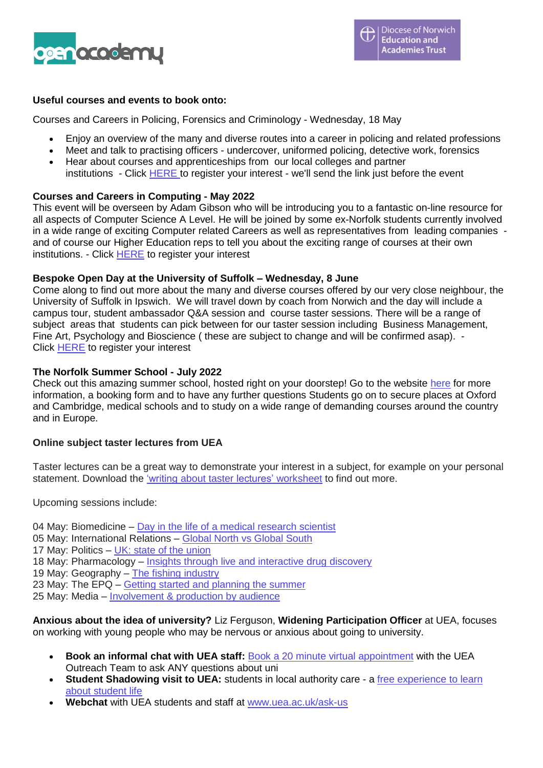

## **Useful courses and events to book onto:**

Courses and Careers in Policing, Forensics and Criminology - Wednesday, 18 May

- Enjoy an overview of the many and diverse routes into a career in policing and related professions
- Meet and talk to practising officers undercover, uniformed policing, detective work, forensics
- Hear about courses and apprenticeships from our local colleges and partner institutions - Click [HERE](https://www.norfolk.gov.uk/sitecore%20modules/Web/EXM/RedirectUrlPage.aspx?ec_eq=T4S%2b4iEC1ydiwQglN2SATcDqhPVazZ0Zdwf0pJjjDuqZ%2bC0%2biP3BoBaW79ZvFplV419Hd4EOquYE3aeNJNj2wrkF7gD5v%2fTWrx%2f8x1TFzXOjIzcEzIaa4JQyvHdKjyKj1QsOT5qkTz1m2HNcSaEBFtwBzMF2HkxLSY1ckAFZzG4kY4oDMCuxHtmLurjjAaFcWuGtCSzGe2b4CA%2fJt%2bWrsFyMR2YEaFQPtOUie1IP0dnLOVpOFvUiZu6DBI6pLZ6LkK6mI3c3Wnh921vYQQL7pz1T89lF%2fI9gULWtT8DQ54Mvowp5Sxbb1g1xbqkxFw0l2Z5y0Xr%2fMuldIpZ0Gudg1A%3d%3d) to register your interest - we'll send the link just before the event

## **Courses and Careers in Computing - May 2022**

This event will be overseen by Adam Gibson who will be introducing you to a fantastic on-line resource for all aspects of Computer Science A Level. He will be joined by some ex-Norfolk students currently involved in a wide range of exciting Computer related Careers as well as representatives from leading companies and of course our Higher Education reps to tell you about the exciting range of courses at their own institutions. - Click **[HERE](https://www.norfolk.gov.uk/sitecore%20modules/Web/EXM/RedirectUrlPage.aspx?ec_eq=YDyp69op66NZZe8WixHPi6INGjxVpcYi%2fZGMXSsZLRZ6Pa1Q%2bBOSoPESmLNuPFnrbNMId79KkZBYl8rlmDRjMACusFJSAElvVC%2bL8v2W%2fb5TEzLioiOGCPM9X3wukpGrNrR3LtinpwZzUGHvPn7KgDpzVFlG42ws1ghy76Xq3jKqf2pOKVghzVOl3iGn7ktdcU%2beVmqrBA7BalmZVN%2fVWTSj41dz0pXhFFjQq7skGkaQPw29KV6xahi4ztjKCSUYiT7bHaacehhS1saozAtpNStBghL05pVvgTy1T934TQjjh8JtWO0l3VHGjAMZ7DmD4vnzkZqafU2eeiO7M2yTVQ%3d%3d)** to register your interest

## **Bespoke Open Day at the University of Suffolk – Wednesday, 8 June**

Come along to find out more about the many and diverse courses offered by our very close neighbour, the University of Suffolk in Ipswich. We will travel down by coach from Norwich and the day will include a campus tour, student ambassador Q&A session and course taster sessions. There will be a range of subject areas that students can pick between for our taster session including Business Management, Fine Art, Psychology and Bioscience ( these are subject to change and will be confirmed asap). - Click [HERE](https://www.norfolk.gov.uk/sitecore%20modules/Web/EXM/RedirectUrlPage.aspx?ec_eq=NEIwkWbCNRaMXSAYxof%2brlNBOckoEzbLEHd7%2b7XUTiDs1kkpZsJiAV%2f%2fgMAuulRFDokxAA5RcSOoS8Dx3I4Ls64D3oFVIAsPth7PHzVQFOPPsyZFBuxfZLBsbpQsUfaPEAco4218O1QmN%2b0jITPneitdeuypj2g6FERtKZ5yWlfjrokwsFtH8jb9NY4xufFvu9OfyRQcbg00c4BggycfAN13Dqbtr9vXfrTNBmyvxMfdIG%2bCjqsxDopDB5dFkg7Np428YTU5gTNU8Fg4aIdzA6sYQ3mONnUNJ55nr75%2fi2wX%2fxSPbhlaUKEcNvHJOJZXxu24sEH5OZAtBabsUehRUQ%3d%3d) to register your interest

## **The Norfolk Summer School - July 2022**

Check out this amazing summer school, hosted right on your doorstep! Go to the website [here](https://www.norfolk.gov.uk/sitecore%20modules/Web/EXM/RedirectUrlPage.aspx?ec_eq=5D9q9bxDKb%2fJZtFYUQUrkARApHeqUl9QnIvGdrkYUUsOK5x6lSebrDOBk4%2bNYlkp8l4ZT8SG05ksKpSZWC5sp7Wc1zQEdAgFvRnAaznJxxpOL9W6vLzLzhijHa2BRe8zoZ1NJTMU84znnqioHszYcTGEMeAjNY%2bF3THQq5iBIcR9EkV%2bnmnCTTpRvseNtTNjTAeD8etJCtAEFAUqkzLEIz4c70oao8DUi2eWI9vQvNCP6ST%2fkf10WnWi%2fyiTYzmdLTktfCn9WJZf9GKMGVkB8wOF2SnWFbd0l4emSHR3ypmDrMlBNo%2bdR9b%2fy1inSzOKOBaBigq5kzYHaEfnIyFoeUSpffs%2bSTuhCqLj1yF81crnWCaZOSEeKIDe0fyMZGiDLqbZo90nzdYdKaufruCevkeallaScI6l9ahXdroaG6sHpwjkHdHP59U%2bFIGtQYgo8C5%2b56D8mjBDbT4ZB3UK1BllN%2bsCWx2L0woBgcY37OiarDQSVnpVpOFTk3AdnAaapbbmB7mDN5gV%2fGgC12sN55xd%2fQWTuJFji26pAE7yntfG2oxSN5BQ1xo3gf271d%2fViuOzdJPW7v6YE%2bjFOlSEhRtERR3Ghoq0XZ7g%2bJgJmiWeJHabLYJMHwcNka1qokEchxw%2bBS22FjljCRIFgHJDlI6TRIq1F05xtpRd%2boL6%2bVBfYFn6Bzzl8YbHcEc1fOs9b%2fnNL1gKP1nVHPhMIxQP5Y3T%2bOSB%2fHekTCFGni6jl2oMuajGIA7HqUb%2bLjutUi9Gr7YAeqZP67WO47pTScfJ1uFg3ik2ZyPhsMVyjKKHcyYptbqD7pnoxLiMCMXuBYZrhiyo6Zubkh8DQrLTWfCbYZwP91PhckB3u0deV8hrdo7ZKwZww4x0YsDR8ZOISDoL) for more information, a booking form and to have any further questions Students go on to secure places at Oxford and Cambridge, medical schools and to study on a wide range of demanding courses around the country and in Europe.

## **Online subject taster lectures from UEA**

Taster lectures can be a great way to demonstrate your interest in a subject, for example on your personal statement. Download the 'writing about taster lectures' [worksheet](https://www.norfolk.gov.uk/sitecore%20modules/Web/EXM/RedirectUrlPage.aspx?ec_eq=uVOdhopb6XxClnVVhv92vSD3GNyUfIQiaWKFrVcCXTVbMO%2fESBLcRhKMVyp7ZYMdl9PUR2iooH8wL%2bXEuQEXFXEv8YVxK0ipSFLBLFFyzwz%2fETbYndvfnlWtR2gnw4kkvvnIyXLrrIqZe5ivao0reXWg6DJNMUQf03akr2We5Zy%2bGChadnhE9ksdnIBHSPrIiM8MlWPf1sNoj8c5uXqgGOEyqHgLXT8MkLbqObjjcTXxy6wNR2m8rQPn%2fxcDbLXjtkLljyWGZjwUr2af7dE0eQiumiJeSwxrnJYkG6BKzHaOdztEOIzOVV0JdQzxJ77YVysujl9Gd%2f0hYgnq4GGnAwgnaMrs2ucXbSJohk94YGKviwBW208Xxh3aD%2bVQlODgB2VPAHXVwMrTdThVMO29p46YT%2btZrQAHPUKL8q%2b1DOPwQZi%2bWMCGcmYsmMc5co9HHkn84eL6aFKXbyjYRPKTM6OaLb4jA6Rt%2fjZ5i%2bFyRAG2W%2bJ89lCWMr2k1aGfAO97jX6Qa%2b2E%2bSt90LLj9OPh6TdROdtrbF8JWbJoyNR%2f2cBOEUe0%2fAl4rQVFIm%2blIa7YCbWrTUPw%2fgP%2brDr2meb46RKnWvBrC8KYiC67B%2buZ6H%2bryUlbeGkokNQGaHmUbdpAsa%2f9NsvsXTWXdlIUIjfZCSmzEzEinAmKj30plOuBQwEFOZ6Z1%2fI1FAIZfCtXAOr3uaMiF9AGW8I7CXkM3EjX9CLZ%2bqQ0B0f8h9xUcQMTy7llstQbsxw0miMtRAZ8Buyu3kfM%2bnAe%2fS1Pk1jRzgh5X5dTJ%2fJS4TZR6kZCjlz0IBjhEhc2WlytlUWy8X3IZ88hp0X4mnHjPRWRk%2b0Cx6%2fq2J8nBiYlv1CkblR1GG6GkqXSx2DSzVlszZcMAxRYaIX6zgB9ICvF2cmJToifWCNfzmpK3Izc5KsyBJy3n6NwP%2bl4HlSo2fpCApfxe8OqM%2b%2bmoos2v9xkv8W5%2bXfJLqyuUXifmsF6NrD9ZfPMArbKPRbNYxPUVyNdGE4x7T9oV%2bwtLgEmSpJuyKLOP9ydtA4XDw%3d%3d) to find out more.

Upcoming sessions include:

04 May: Biomedicine – Day in the life of a medical [research](https://www.norfolk.gov.uk/sitecore%20modules/Web/EXM/RedirectUrlPage.aspx?ec_eq=UDW%2fwkBZOGvzxw4Lm5BpPol4o7AtCcfTgvdis7BLT41KhPumjU9WRt%2fbjRdahw%2f1NGSbwW1N0CA45syAp%2fTyxaath1ROrmhja%2b1gXmF3WVN0hiOPOathmCfq9bPfAbbbsnxcNCnSgAd6z6Vo%2fNjv8vbYSPCvUZS%2fYWOLJaKtRP2p0kLsc8uMLNI%2bUQqU6NXoNExiRhVyhrpYLc0tsY0jYaSEKSw9zmSXoCkrpWCZ8LC3lP%2feiwKjMG57iisZW5mN%2bhNidfSxJCZvYlPVWfLOrp2PRTTvJD3tAB891Z50Jofakv4ZJB0MvAkKlN%2bk6cuJmmaQuhQ%2fIdSXZg%2bQkFz1JXx8evXAvLpYVWwIoWj1qJMlEm90BnhlHsyrERtHN32zCvnhtKJj0JxgmJs3QdpkHgCdCqgS8h3%2fryQrj%2fL144Uqt7oaNu2DMa%2bC%2fAW2nMx9xt2XzIGeLOruHrV%2bEq%2b97V7PuJ51A0Q1%2frVB6JzIicwfBBNuyEDwq0OWfjk4m96NaMd7JfTS1JWYMYWAvlk8Qh4OKsQENGY8jj6bgS0fxeSxwEcpfbwX%2fTXTCfBjjFI5rTtwgcTp27RxtAM047JmB9JxCtsbYh3pJVEoiWgWXgqvlI344OPbOJ4bBnlkHEcSs%2fdYyriTKG2ziaRRa37%2b5OFLEYcl0aMnOPfGqjUxJbaWWWEFC16NpeBXvttspR%2frvyHB4DPKbIUVv7pdezU4Apjh8XnqPm429boXqiHsDPVuX9P5XWy13z4ASBcFa0iBpaUtI8RRZkM45nR9OW6KHlzIAatwc%2f0F%2flat16T6shc0xDYSHNUxXxOCyAHY%2bTjRpx5Pj0b5hEYhVcwnHoJ5AEnSyAx5TVOsvs9C4%2bA6VLpgWiHa9wmUa4fLhdmQdaZtkAb91kEVvfRZkqmlboch2zw9p8uds4flkvaVmgv1Jg7aqw5fBjepMi4jzxnMl2wO4eO6R8g2KS5xAA6N74qtKQN1be%2bygNq0SqePe1jQFqhGqm46aItRg52z65OsU0xmWddEJM3hwqLbSRiiGj8OoUN3j8QykqXJpbHqcmM0Cn7ffJLH4RZuqbhZnO1OTuVu) scientist

- 05 May: International Relations [Global](https://www.norfolk.gov.uk/sitecore%20modules/Web/EXM/RedirectUrlPage.aspx?ec_eq=pkRP5zkd0Yxoj0Jfxub8aTZSFNeGY6NPb%2baYl6IpxMe9g6rljnIW%2bEsUCGuqf%2b34hCq32PdazalUKW3Lc5uD%2bHk0h3qnXNFH2x47Wvi4aHLh6tqkW6qCchJllj%2fHjmMMda0S9Qfx%2fhAAIFhp9aAOXVhmnYJq3GqLSRJNHTTyUc61f9C4ru%2fmHq3e5pMpAO4iaFymGlW7vXvXv%2fXl%2bKtM%2bI5x%2bTrxceU0Lh7c%2fnuVcgZR3tmpYlE%2bUt82XQ8oFn20iEiRlrchWMiyqmc9%2brBJrwojMNm8Kmf6%2bkJXSMS1d08qJqTjzHa%2f7Mthox9zT2uSTygAEMXuHt4zWt%2f7fg%2bhgny9Z0Ki90JE%2f7JcFdZzn%2bDaP%2bpYrrMhcPShnWFciSLvK7bMLk4h7V3TW5%2bIgChwkRn1gap7InpebO1oJG8BJpiwmdjDjoW433xZ9HxLUzlat1MMH%2bNhv01yHa9W%2fJZGAqYKLzMRzzJ2CHXIn42uIxJAUgxcQ90i2lJeQnASJX%2bwhoIk5ciilcvndcMzRJrbAXfjvTSGvtyaWo05JA0ucPeccvfU9Ug6P%2fhvetR%2fcr90mZB1dw0MmI4G4UUgakBRTmWjRw74zENcuJmBCZf2hWDIqdIbMSdsCeOSO%2fEfE3MaXBEIh77AYia4X6bmYnQ7tTflnj8MiRhHtGFKH3sCMW%2bszo7DVxuD5xapNaqC5sd3UckrvxVAt6Irg59YtTvlP8GMf8TmQRY0%2b35PH4gdJQ9PLj4Yz3X3oYqWO4RRtuxOjSy6KeCkv7sRnVMVx0mdho%2ft1kZxsEPk9dBIc%2fT4IqJd26aUmMRMs2PCIxkJRUNtIIWA8YErUKEtuKlvO7yvYFzm0H188Q2Se7mvnrYAVm%2fAxywb%2fW6UCj4ztbVRkkjVi%2fnm12oHLrMLsZrLBpYYbLwb9EBP%2bdxyRiAgtntHLMFf0t1zqhVdSb%2fpwDmpuIITSasOxhVvCoZ7ZrwzToyMbcGiW9OKxpVCtbRwsNEOOlr%2b8ICjvlIcChyHB5f1O5Ni6EtgBODuBr%2bHCgHPzzuXIsn%2bai6YBkznXa1nPwSYXPA%3d) North vs Global South
- 17 May: Politics UK: state of the [union](https://www.norfolk.gov.uk/sitecore%20modules/Web/EXM/RedirectUrlPage.aspx?ec_eq=VQ3m4q0n6OS2Iv3yd3ezgRIrvZy5Ivtfk4F%2b2QSFBPC6GM5cnPg6oCgFv%2fJE%2bOHtuPpWvJcqQXop5PyCImbWd6pfmzw2b7dOqkwwPkbU8ObGxBUQ8yiJuWKVHVNWCbr8vym0TFIyGzLYVM%2bagVKdaq%2foRz0PRA6GphtoBxAmlrEl%2fQmF0%2bXiXDwSmDmMbnZpUdCax%2ffiplCEoZxB%2bnBIgx9zjpQj6CnsM0I77RH6iw9tWUJY317iAfe5N9GLBL%2fmhG6uuOv%2bfSBwQ4CyCjttUCUUT4FrmxNZ8HmHjO6bClxOOiIXyL4JhfgYV8jRbkbi70RXXgjf8K4m3XY4NCIOk%2b8OBBwuJaqqsh7%2fGgaSrKb7a%2fsODZVJid3sLXFVK8smAutXBG%2f0sGyrzDoNZ%2fOujdZxYMpAwocZKdjVA3%2bgdGGENcUQ3qH5TlQT%2bFg%2bRb6N5IhNktSiuQT0RZzDTh7s4JNatO2QBlLQdlBZjbluDYnCjyrYoWaM%2f3yX0ez03DKW1cRJAqlE6KZ1OxnACsHtlRA2Skh6C0XlkNuBP2XtOnEs1jvboz914pOLZDP%2f3ba2zYGzJchtPDIK2SiTrRayqGnsFT3WTT0%2bIsl7zmYFMKy5xQSb1UwyV8n7wL6haETEFgNQ4TdaTSKujETkDeGnl%2flBAKtx4eWi%2feXU%2bLVHCX8kEX6folvzVTgv%2fpOL4n7goS6Mbc93unPBJLUkUqPPHPHq9zM2NeBQ6Gr1Is526NbYfKUXSyG6%2b6Jvx3iRBq5yS2VhtoHyzaZfcYAppqHCaguBuatAzCn7JJBMHNZfrH7Tf03CIBwQIhAKTSSq7mKArvoHfxARHG1swRkVms5I3iUJbvGBWUvsRvFaXWmXZHVK2%2fBwEJ394w0qQRu%2bxTx0in7Zc8xz9uU94L5icxTyfX49qSNQKM7pj2sMqZAGE2CZMkExenq4AK3NtUyiQ46cUuOwr9lZRhy89dauN16s1hYoQmtKF8nYR5qG9QmWbedMr2NxVbJ7%2fy3MpYRbBVWzyb%2bzmUazZ8ayl5XviCADig%3d%3d)
- 18 May: Pharmacology Insights through live and [interactive](https://www.norfolk.gov.uk/sitecore%20modules/Web/EXM/RedirectUrlPage.aspx?ec_eq=0yZ%2fLxa498fL23rTueewguweBIKDqWxRYX6m5X%2bc7o3P%2fxFWM%2bze1Zj22ruatyo3rS3eG88pa8uDA68oWE3XP7z58GcS3LOO7uBhKRWTs7tb2SpW58x9ayYIyh4ATZAoD7Do7b2aKekg%2fSd6rIjeO2mzvfIBbpyDZOP8kd5cFlvwYLrUFkFwTCUPHan7T%2fHs1DXdmmPet8Sy8yz73uerHWYOjW9cGWpxvJ6EmR9iGl3omNSwm6goaNghsZOJXQAdYg50PQH%2bgsSv1ZkPiUdUcgtncuveyDJHPm23tshVR9PwBYSOse8mYS1p1I%2fqU7zZunzquMg0L6KT6d3XbA%2f9o7FbeSojGA8%2b6CTXthEztaKyhU6AwhWku9oDOfLjC6XRCH2ZYhraBWDnCOQz494coewTPswUbp6KCas%2bGGLelhlrxIuCiUZ8sZeiM7Qr8o%2bRDY7dKPoedyoXKYnIGLFl2DshM5XEWmWIE8AAvTRMcsJM82DnUCKOqTyOu0xgQdUpIuhf6Al%2b8vKe3sLQUxu%2bLWErHZnywSMkmgkPkFAWFyxqELoEObDT4VmSTsFcIDSk0IpS0nBqdFEpESxrl9CLCCefcJ03eCToI77mF8cj5KVA%2bwrCkLYoyz5NOdigl0Ap%2fTtV%2fMolJT69%2bKfhgZOSz%2fKngkqBgIraFLy7G3GiqTIk2bCHK4phddFvWhrnGnlfodQ5NIs4g%2fb7d9mGm%2f1HNIb5x89xE4B%2fo93M4fQmnkO4JacIbTOguwxeHER5%2fTAt3Axr%2fDCQplw6O9JfJ8rWDVqO%2b0zsvcObiadR8wUP8HvG4Nq%2fcjkIHtPuCQoCykKfrbM6WFZNg8DaRA%2bPafDgjFa%2fE3HD9eWiN8Z%2bCucJPaK0xwA%2bBSdIxVXudeUeUo3v5rm77zy8Vn9iCY1GYKzbuF%2bPYK%2fFD2NWdDECybXCgKHR4XgGSiEFsQOWpoLIhzH%2fD%2bOgXQQ5nYiBBCYNjxn5zpg4L90G6eDjoFIpG4C2iFtIahBGj0xEZIh6JdaOMyThCncWkGalyoj9htsMFcKvQI7oovSex%2bKiw5YSxvsmRfERbdeTp0Vhm4nQ5XAdDs92lfzdhpR4c3rOEMnS3sOHAQ%3d%3d) drug discovery

19 May: Geography - The fishing [industry](https://www.norfolk.gov.uk/sitecore%20modules/Web/EXM/RedirectUrlPage.aspx?ec_eq=pU4YZFlAVWM15FCqSs4vpUIXHs3CbV2lyKm1kr5QUksXRrHxMqA24n1S%2fL%2fpeJwfx0UHSliBHnhrr2hJTG9M4hxwo3bg9PuuiDIfB21eEh1PObG71z%2f7bv%2bFWa8U9J3SzzS86IPhYAkUlJIcXj4jL11cWsLuNXSdpZJ%2bAda%2bNzz5nIG9Z6DhUXc7aX5aLgmiyDoTzdixsqG8cnEGnDyBfQMCGFm5VgYFlRHT9L9RH8XaNrsSeTwaCVj%2bB0jBCG9orthY25ROYRsrV4%2f%2bk58J9r8ey6sQTSCAUyuJy0y%2fVK7hV%2fydNXVM3VZJK3rgnfFGPxj1PrGROALPCnb55Ii%2bkGgYmLgpQehIdJq6LtaldZ%2bJv2HOO9JoOLO%2fRG8fdXIeE2zHtTGG5BF8JAc%2bjfhCRNIKaq6oQcNPKikQJtAXTW%2fCCByu7S5f7qNKnxnOK95SzuhCWDfOOBHtSoDHgKwcrTNBaQnyOTn7hwn0qvSdNpPzGCKzLDmnnG%2b6diL9iWV03B8elHRsuNirchRNbmwjVvcBbZ5Bv3frqzAZMfssIKERbUx42W6dYqQ%2fcko7vPMYy3uYrhIzFhzDgnQH2FW7jRMnoYP7CRq48UwK3wbuiHDfPNujpD51jjwyMQIXQce%2bahbh1zSLyXS1EC%2fkQXoUsmG2YS5WWiPQMvtmofdMoxb%2ffKIc3qxX%2bEkiFCQuvM5Ei9nSs5TO%2bny%2bC%2bKB1wJPHO3hT4jtS2Bx4ah%2bLpYNgR7rboF9wXwnDwu485fK5Lb00UCI8aTB9HhA0a%2bcAIcRlUmw3uYZCQlXR0noTTG88AABjULZiDbZCL4Ew7QpRwT3vtPQxk9cGR081J5X5FDvAN04unthAlbS2Jo%2fIbCb%2fIQvgEJJs%2fr8LCoPJSkYmHVWUWbc%2fnFwM8eED9lGBe6np%2biQIf%2bVaqwN2M04XQXtK6joeOWCRMW0cBoSyluNhcglWQU2pq2FaBOlBh5szXRtqw%3d%3d)

23 May: The EPQ – Getting started and [planning](https://www.norfolk.gov.uk/sitecore%20modules/Web/EXM/RedirectUrlPage.aspx?ec_eq=J%2bHgZ1QudNhuKkup8D5xQW1CIDXCsJbNJx2aEqQ7dQSThUDIB1EWuPDaRUYKpk0Qac1HJmH1QUsq2r2l4GfwsFwRbArgVFjVeZPuJzZT%2ffrOMgA5ATCAvNTHRDr1xPNQbxB8wJ7ydv1UTGdNSK0PKC%2fPa4Mivqr05ksEPr9F3%2bDlG7a4LYIm%2brEzqf%2fXxbLJw%2fXJYz2acAxgQbPo%2f8terQq3cWBKGDW0VGWVDRltdx%2b9MxIA4ILK7134WCgxN8nPByo08cUC%2fFARta0BQbeEwQvniIRb5CIOchp4tU7bBXYmSJ3LBO69dMZTo%2fMbntTnxDBR6TG%2fkC%2fMxLmpIr9Up0Imb9socnKIlZeX9s6PeslNb7EytvSb7UoaYAVnFI17bipYSAwBombDMWXGenC6jLG%2fIXd4ABSjhaoXtF0vACWJbgoAQdAop3AgfI1WzM46MJRtoxvWnU1Z1xSpmc9qzG4flTSHFGG18c%2b56ix1ncSBbxe%2blAZDvKYjlxM45Z2a11g25VYip8WyUHrmtFugkj7LBEb9GkKwbz0ESWz130M6mICGAPSFd0OjRkQmNxpxaVDm%2fmPEEKEyokojY3dP1%2bwycbSvslWiChdzY5OSqq6LwaZWbYDqpp9AumnAF5eEHTfn9mIGgjtAQzhvevsxzm5hMIqJmS5qpwHXkWh%2byA%2bKtspm5lBbc7cqOeRcr0RstzaRCJ0oktKCtl1Cr4dim9xH7xBM1TeXCS3OQDhHxskfE1xoT%2fkzCn%2bymD7KQI598WFdQrdpbT3sxrCIrWH8PhCwXdR6yg4oPb2Rd5ueaVycNModXh06QSNWfw8GdUtDnHdgrqvODREZnqKGR3A2C2GGu3o0GZDCrIfPjubW5nOyc%2fDhxg1sRbeqkMsag43XcWLhbTE9feUf3qpfbCqKnr28iCyNm62hRoZLts5aAB3W%2bEkGk6OGOfcTxKB6mJbx5y3s2eO2Te4z9%2fuR4XLghNO2T4vUPw8AJnUFrxT8YkdVVGEVd2B8HTEQ93dqrPz7XlGY2FDH%2bPa5QLFVI7pcGg%3d%3d) the summer

25 May: Media – **[Involvement](https://www.norfolk.gov.uk/sitecore%20modules/Web/EXM/RedirectUrlPage.aspx?ec_eq=DWv717fnHabZdFDxQrxcDW6Z47t5r4SbsCLbgqnRnSV8hgQqZdtV%2fsEXEB4xdwSbndv%2fpv0d8JQ7rD4PsvzM%2fD7AApRiDC%2bwcXbSsNYzAEpXZ0cSyHL5QAB3DdEvL%2boH2JvS56aFbkVuvZTYAqETfXnaPCtzKe0iB%2bHYqlgNXH06jyAgMveBXe06YRgp%2bxNC9Ji2u%2fNLNzgPMrK8qCqTFTB3o0VLiVGqWYHRLoliM7izbBEjgGq3WOZeXLB3T4nS%2ftIsLIE9U52lUWwVPDeNccOAIJQyd1aW1wsfyEOHysRPmHcdb9dnrfwGU4MM4GRcm4%2bpYIwe95cEBnmYTKq923f7Scf6l58pMIzSKa3Pk5meTP%2bEeGZW466FpleYEkV79GFwoL8WN%2faesh7C71yCGm5MZJ17dROgnYeCP4ilmjmX1j3x0I5FW1MS7ZYIgS7cRSSI9tMaxnR%2bZJZUJaR5R2Jvfbt0sqRUhIVV2EJIRpUCWFm62HHTLNJd%2fM2OjySJob0Agl%2fJChdQrwlVe6hawpFeI3fCUX6X2zTVGG1x5Kewrkn7ZAfFUt9MRjzovZ%2bSUa1cVyoOIaOVQKU549%2f5hFT%2bH4KA1eY3XwGZ%2bvU%2fapSMaVri6FBPuOBZlmf6d2BdsnapEpTrml0%2f7jIymETEV6pvkInIvZYbpzT5qT5Q6j7w%2fOyQViQiBfPLnhu0IuNZ1kK1Rr5vdNGhNmFBlv3%2bhu1LEiE2tp9BL3rKIfAhxRfi9UC9b%2bM9FdllwLv2j%2fMZ%2feSF%2bJYTU1mqA5gAs6Ji1n97wVCaf%2fAdzpey32UT5GcPclhvUdl0VOw4oPjUjvVc88%2bq95%2fB%2bfB%2fjHAbzhgtAT1injrg52ujL4sty%2bqi73TdRx%2feHTjkI%2fGHxwFLlRjVLUeMTvBq6tNYMF2ZO9c4m%2fO8IryWSdE1PJukrAeRfB%2bUyguDsl4c2GEfUepI1rW5irApAzaJ%2fCFNKbQZ3VqXj6OKEyiZZTqrCXxHdzYkrLaItFkMW1ysGOOapkW5QJ4q5g4hafFPed8G8SecIRgeGA%3d%3d) & production by audience** 

**Anxious about the idea of university?** Liz Ferguson, **Widening Participation Officer** at UEA, focuses on working with young people who may be nervous or anxious about going to university.

- **Book an informal chat with UEA staff:** Book a 20 minute virtual [appointment](https://www.norfolk.gov.uk/sitecore%20modules/Web/EXM/RedirectUrlPage.aspx?ec_eq=0IGHDsFwAD%2bfiNsH1Vt%2fJIzvAhmSkGhu25tssMEOD8rP4P7jJUFl9PD8JJV%2boJEjmF2GbjQIHAB7%2bYNUofRa%2fDlWi72Rhq7g%2bSVtAL0YC699fWUAZ8SRhcNkesyuSqTxjrmt1W4QLrhjqIy2099CEYHKDEauL03MP82pQ%2f0Ql83CUxrnTaqLd%2bxy37uaoZcIi33YbAvLLayD2JyNauMZjMXSYU0%2fdo9uqU2g460w%2f9sQJ0x0BMCmZnEAkcViLipbK2GsFSyPUK76LckH8rMGASuKariz2gU6QG%2fSvIYV1069Rk2C1c%2bzdvvh9NXBvo4p0mi6lcOFKJ2dmZ2VymCSmMzRZ3eN%2b%2bwDA62GU%2f%2feBQmNZNll4ijUc%2fBfVGdIHo%2fysK%2f2m46WVCNP3yVRH3AUvSQ2yM2yMLFouf6GEau9%2f%2faOI4MfzN%2fndaoSHmNmIXWsZdS7hXUn0qyiQSHi39lCOSYjWiGbCxikv%2bmRz35Kf2Y33ib%2fGrIAvWqgtZZ0vdQUKtRtT5qdBqKy8hXqYrmUERNtObZlbkEAHEbJT8w2Sw1ovmqEiWmKovsVAsCByuYQHs2LMxxIs9rL2DEpgtNxh4suao3FOMLmGP2cAA9CHK58GFbvkAngrgtXWGvT3XK9%2fFg9D4H4QIy01vmPh5Zke3arptZKHPHNq6ZUyvXwSU2CuaB34qIZaMIVBMSoTUS8LwZOtBW5SwCP1AZBWT%2bu0dc%2fUYK%2bJaKAOBF53DZG5Vcuckn8pbuWCoD65JVDLC%2bFr9%2fZEWzCBu8EA1buZSX%2bzdrevaFnRezf6az43sUzDhTl9N2tl%2fio3v7gHUsQToIIGW1DJzuOb8gnKcnUZm3%2bhRWdUdDqhcn%2bnRVXMiz67zbz15OplNa%2f3dF%2bKepSQfcT31Jl69DLI%2bkjTHh%2foDIRWeoxwEIjzRucTUooMylEFdfq9pH%2fsCrTpc0ka%2fljzMYFGeGk5EZ2LRsOgeaqVyA9C7217jJyNQafCij2s1jk6JGUoa0aLyIWLy4IVvXiRoUEgfF4E7wr4dkU0ylabwKsQs2oP%2fIj23xV2UjRPlv9dARzfmGPda5%2bAS2%2bp54pYp1nNiPlcSuC0WCZowRgcvZsWxISpOP35J8pJZ9efT2OaqdxbywbjwzisUcMnY0ewqwszGWxp4WnLoK%2fafM2wxXtmNxRY2kaum%2bERw1Vopvqte%2fLVAmTnHuq8stHjRIFfQPeB%2boIjICBEfxbQC1lWPRcNGV9RaSmXQWYVAS9pDX73XOdHlZ4BFdL4JGbzHtYRSEWnVfShIvih8LsmQcgtk0umL4j7rkLaADsce4csLmYzateqKOY4D4SFDJdBDkDMoZA6TSbV2tnG47w8lqo0O%2f69Y89GFQbgSFmWndh2HiZaW1Yj63oOP5Oae%2bN9KJuEbDbvVwR9QL4x53GAsgHARizLo%2bYoiWoJz9UvHG54FlrNAuUwcEDYONDIJbd%2bTFUVMwp9yDpNm9HYf8QqBS6NRlbfJmKTh4rnOpRXQtZECuexCs%3d) with the UEA Outreach Team to ask ANY questions about uni
- **Student Shadowing visit to UEA:** students in local authority care a [free](https://www.norfolk.gov.uk/sitecore%20modules/Web/EXM/RedirectUrlPage.aspx?ec_eq=yZ4Jn3V1RFDu%2bDMUNSPfzqQB%2b1tbFH6A0QfDfgawmFqCrjeakj4iAi3vd47c9%2fTqLn%2ffXD3sw0QKJMDHOYgnGFdno%2f7MyBhdPAtfbOip6iYDlgvxzBjPqMUPmeaQgbxjsSKPRlTO8zGLqDSdCywNBGRa9mVusrVxSpA6Z4DGEm6JjGNX9omCXxYR5SFIyjlCNJ1j%2bvnbcKu1dCcY6o1a%2b618elA5w7EDdWOp8Lc85bc7hkqkyj%2fEMcYsNR4BcDij8XjweXv5GQZ3ZEzqzNtvt7Qxb3b3p%2fZ7VzQAGmL%2f1qfpZY8MxEGILjPtxxXDwqyi%2fs4NDaiDXAUwx4Y0D8TNd5rXfGrG8WJi9JEpbTgJVl3ACUNPKyzGbq6I6gKXVV0hrSkDA2%2fRtjXYqsN%2bcIL41bs7oqOLOnwtX1qR31dOQYL9dTZkEDSxlsxnGiVraSZVJesEj9ickvGfeoEMTp%2bUzMbCMgayg9Sq%2bjgDXCGJSucb2gDMJX5QfydW%2bv5ZOovYDb%2fLsrF4khEEAVQBQNYGpgXkCu%2bRAyvmAwtJWpIsQBjHMYk%2fxI6cF3iZ7sifI%2bNUTU0dRxiiAApEWUrzEGc7fTT7emrlZmU3823soZZdIlsvWT3q%2bgHPj6uI8eyTVd3NBvTd2ZGvlAMnLgSC0G37nzL3SUzAqto2dT6f5OLq40jT%2fx5GklgI2Jdc%2foF9LxNOk7GJY1%2fDZg8MBKmVlQuwI8V0d2wS5bbfOWskTgyjEjyhMKxSn669Aw3t3Mno3hBeoVveXBgbq02Dvce7OXeg%2feG4Z6RD4VAx5S8KOICwW1YtQMIlNOYM7ZbDpbxcW4iv%2bvBXwp22YxRAJuijfggIev2m4xRlsGj0H2kPmDzdaLmlrcHAIa2A5Ek12uGJ14tk7KCr0vV%2bHXu0jibKbFbT4PMM8CbtX1osYsK1YVprGsPOtmd3oVD6zTAzL8KLkrTxCldfMLeEAaeLDyiwvvk1uLPd%2faGzFLfIVoOaFgFep3newcB1PC4P4MykgMmwApDot5rmwvzbx%2f%2bX9SdXfSyywYciwAeGnng2ZY41X7Os%2f%2booTZC2%2b8BRcihbuWwoX7YqUHPa5%2br4kdX426NBs8h4HsSO7IRrlXCh54tV4UgKkg0pp%2babunXTX2Te%2boAxIWKCnP2tNo%2fVkPyjWt2J9lzbvwnGaWbgq4EHvYt7eIzE4xIN1w8QFpxCELQ4i3%2frn2GTkd3GdQgFZJEcdv19gT8dhif7ry7hj8UDxJHuCI0Q3pH42RUyhqiZfN8WZy5qepOAeohSaUDksFnxSAscakaMzOZookimsrZBv4xrzXbcXGJk5fV4aFZ87I38YOkxY6wZmPI0D5mP7Z3ydefdr1%2fO1wEluOzqay2Ax%2f70FE1tjfm%2b%2bFMIfI%2foFyxM2yeeJxMkfItQsiVvhvoL5PoK36BdijiHo5Pse2Nm5gzlsdVZQCvsn2o5DgBG31RyOO8wnGu8PHlmQJQzB8pZrBjIi9W0DsYJKOU02g2n9XZiJgmv8fc%3d) [experience](https://www.norfolk.gov.uk/sitecore%20modules/Web/EXM/RedirectUrlPage.aspx?ec_eq=2lley6sUN43rofjTnWSy3GSJsonPDybYZvjXVWCcQQJvfS%2bEXSGWTWkmZ%2fg%2f9t1honrkb675oBk21QQ4ehsBsqIkEU1rK3VL3aEfIUCi5y89yiqJ9fueKkqcdPdbfuqBHnOXyukQep3JrNLC0rk3XbIhynszlwo28oXUTnA9ZC77%2fXR%2b94XmEyynXTDBmJvatFsYE5dWTlck%2b8jB05iF1GjqaBNMGDZSknpqAOhFYt%2blgnGTTq8shtMMKnKzBfN3oKx5sQPE7UGeUrKgK5reN2RM0mtcEkLmKR8IPlnfHbPtFqhVsVeT%2bLAmWHX3xasY8Uag2NFo1qnQHXE3AbLFl4HujwkRGZn5%2bO49EH3PSSEoaWJEKPQFoh3nfereOoKKTW1PeJeNlihrfH8UQBJVfcYkDwrFqU5ohkhUR2geqa%2br7rpS%2bAdkGNOjdqq10dbC%2fhKwmQ%2bglFp%2fXF4FGCaSEfeoS5LWsKWIe24D1uVnc4e%2f8m6T7aZZdUFtdjriUlhjJlwjcsYj9%2fhtPMjyXTKGHmEqRV%2bJkEmo%2bVuYp47Uf2hrJnalerE18NFMnS5KMEwR5le5U9jPxeZG0tThs27W4xo%2fs2VwxrkuAlUJtdL4TYOS7nMqLVNxcv73J1%2bP1AhXU7OEoVoeOM6MROinkZl1ryoQYhXhgE5279DUpq16ErwqD%2fjk%2fncYaCY4HTnjHpKqz1d1AMUGTsKbdFgglO%2fs53y1l0cl8uwYtGRf8C8rjekaYqLcZ0AqrIM4mAZcEGhB3LkGiM2l%2fXFY5bG%2f0AcdAdbVE5kHkbHk%2fqVVzeOg1EK25lw%2bOkEs2yL1BZEU0wpLAV%2fA89EjqALWSMVfYOeWFC4Xm7thQ4ojhHmdcxLgyWo%2faisgROVXyDRR0MQtny0iLR7jFuNjDPUB1G2HZHsD1bNXMAsmR%2b2r9K8zubLVCe8sP%2byNvSGS6T8nRHCTXy9Ym0JLMK4%2fOGzcwOd2FZyX2dALaQdvCxHswDJCqQPUvhcNvl13%2bw%2frbS0aHBhnMVaqPkTakUYeaBGbAsH4X0OSpdOZlf2elfK0WbrL0bztj%2bJEysOEraqMcf6u1cE8CKoCUP8gNi6NXM2zdnQJrnrVH%2bwbq%2f4JrrwnhwXkU7S%2fhHsRXvMBvSPJFPjobSGhJIpVqEJ8a%2b%2f86qQllk1w9kwfGK8S%2bfiM0YEQmpKGbj2ZMUo2rhuyqbuiVP%2f4Sk24WXSZvULVQ46yySmh6iRI8pNEcOHK5VOT0L%2b5ZcNaMN0QPHxKxLabZ3ZEQhMp0XrnmzN1wOCPVFSrt3Z5JzRl6W6880N%2fOWP52t76ycTm5ylBDN%2bqUK8muc0udZ6l3FHVRi7n6CDGWJPeM6Xj1%2b8STYa67wjfsDLkB%2bZq6DP0Dl%2fJXI7JfgT941svuKVsP5waxW6bhQZVDys%2b%2fb9ql3kFfHm8RGe6%2bc3w8EbMWcjLLAjltntyjdjDi95D9vmwZHHY80JbIDJgSuv06GLd4MNx1WjHp7FtR4bm2%2fptEcWhhftaoCdbU%2bBWbXxHRg8HD%2fW2agHgBDs89qkXN5AkoKbK9nL9eRHfdnynumJVFZHrzJAc6B4%3d) to learn about [student](https://www.norfolk.gov.uk/sitecore%20modules/Web/EXM/RedirectUrlPage.aspx?ec_eq=2lley6sUN43rofjTnWSy3GSJsonPDybYZvjXVWCcQQJvfS%2bEXSGWTWkmZ%2fg%2f9t1honrkb675oBk21QQ4ehsBsqIkEU1rK3VL3aEfIUCi5y89yiqJ9fueKkqcdPdbfuqBHnOXyukQep3JrNLC0rk3XbIhynszlwo28oXUTnA9ZC77%2fXR%2b94XmEyynXTDBmJvatFsYE5dWTlck%2b8jB05iF1GjqaBNMGDZSknpqAOhFYt%2blgnGTTq8shtMMKnKzBfN3oKx5sQPE7UGeUrKgK5reN2RM0mtcEkLmKR8IPlnfHbPtFqhVsVeT%2bLAmWHX3xasY8Uag2NFo1qnQHXE3AbLFl4HujwkRGZn5%2bO49EH3PSSEoaWJEKPQFoh3nfereOoKKTW1PeJeNlihrfH8UQBJVfcYkDwrFqU5ohkhUR2geqa%2br7rpS%2bAdkGNOjdqq10dbC%2fhKwmQ%2bglFp%2fXF4FGCaSEfeoS5LWsKWIe24D1uVnc4e%2f8m6T7aZZdUFtdjriUlhjJlwjcsYj9%2fhtPMjyXTKGHmEqRV%2bJkEmo%2bVuYp47Uf2hrJnalerE18NFMnS5KMEwR5le5U9jPxeZG0tThs27W4xo%2fs2VwxrkuAlUJtdL4TYOS7nMqLVNxcv73J1%2bP1AhXU7OEoVoeOM6MROinkZl1ryoQYhXhgE5279DUpq16ErwqD%2fjk%2fncYaCY4HTnjHpKqz1d1AMUGTsKbdFgglO%2fs53y1l0cl8uwYtGRf8C8rjekaYqLcZ0AqrIM4mAZcEGhB3LkGiM2l%2fXFY5bG%2f0AcdAdbVE5kHkbHk%2fqVVzeOg1EK25lw%2bOkEs2yL1BZEU0wpLAV%2fA89EjqALWSMVfYOeWFC4Xm7thQ4ojhHmdcxLgyWo%2faisgROVXyDRR0MQtny0iLR7jFuNjDPUB1G2HZHsD1bNXMAsmR%2b2r9K8zubLVCe8sP%2byNvSGS6T8nRHCTXy9Ym0JLMK4%2fOGzcwOd2FZyX2dALaQdvCxHswDJCqQPUvhcNvl13%2bw%2frbS0aHBhnMVaqPkTakUYeaBGbAsH4X0OSpdOZlf2elfK0WbrL0bztj%2bJEysOEraqMcf6u1cE8CKoCUP8gNi6NXM2zdnQJrnrVH%2bwbq%2f4JrrwnhwXkU7S%2fhHsRXvMBvSPJFPjobSGhJIpVqEJ8a%2b%2f86qQllk1w9kwfGK8S%2bfiM0YEQmpKGbj2ZMUo2rhuyqbuiVP%2f4Sk24WXSZvULVQ46yySmh6iRI8pNEcOHK5VOT0L%2b5ZcNaMN0QPHxKxLabZ3ZEQhMp0XrnmzN1wOCPVFSrt3Z5JzRl6W6880N%2fOWP52t76ycTm5ylBDN%2bqUK8muc0udZ6l3FHVRi7n6CDGWJPeM6Xj1%2b8STYa67wjfsDLkB%2bZq6DP0Dl%2fJXI7JfgT941svuKVsP5waxW6bhQZVDys%2b%2fb9ql3kFfHm8RGe6%2bc3w8EbMWcjLLAjltntyjdjDi95D9vmwZHHY80JbIDJgSuv06GLd4MNx1WjHp7FtR4bm2%2fptEcWhhftaoCdbU%2bBWbXxHRg8HD%2fW2agHgBDs89qkXN5AkoKbK9nL9eRHfdnynumJVFZHrzJAc6B4%3d) life
- **Webchat** with UEA students and staff at [www.uea.ac.uk/ask-us](https://www.norfolk.gov.uk/sitecore%20modules/Web/EXM/RedirectUrlPage.aspx?ec_eq=naVjigE4Gi9FG4lEtXtLTheNG76lB25dySYX%2bU46Ie08Fluv0FH1UdY1TbSv48kL1i5CwAf3sNBgYccBEK9Q2GjN%2bYEQVceMYBX0TxpiUBf%2fD3KzJLjjD4cykqy1%2f5yjxrqnIKqBShpCnHvxJI0eTIsk3L%2bPEekB5l8AiU3875Z5wXGTTRIBSLRwj7%2f79Gm8TFYdJ%2b3jai%2feGbrAQcLBLbhdv0tdGgOYzLSFDJMlA5s482r8lwOEaJRlWpqC8nKCMXaCi5XXXhODpaj%2fi6DC8H4YpuJGxKPPqEvCbjLXHpvYCOoI%2fiNsCOPFcHLmA%2f%2fEt8HI5EjQCVSffI4NUqzrtWMgtv9Wen1Dn%2buUsxAzDmB7jIWQZtdWLD5FN50EZV%2fSVPH7sTi38Y5jJ3w%2bf%2fDCAJ%2fQwni3XVmqtF%2bV4nW3G3q4aNUhlKXx1bb9HtAXWfRH%2bQc6uSTcW2VbA0l%2fKkk9IhpSZ6mZGMGzNpBLh%2bgoiD8XDU16iaDsIjUR0%2f7C%2f%2brOg9XatXCsTfyAFVCyPyrhFfOjS7JNS4i62ZjY3DkLlaEZsO%2fqtTiAmKrlUNwlOZULGE9qxUaZM3qjj1XLNSiG9uVZceXqqUYhuxv0JVVTAAKGHOEG%2bQiBOZA9piDR2wfIwEQyLa1ycs3otHoOl5Ojs%2f388lvbiwvPx4wub4CN8xNGhUpcp8rBxpkfTY5OnGR9OMNNhiqPnG4rmhXyoIK%2bBndo6WinCeGY7VAuwZXwlon31sUQUlwBQ8VXEA%2fAi1sS0w3ODLMSaYeZVhYqHs4IhoHunyOFy6N3F33XACj4c%2fs4a%2fgO%2fq61n0SFPAQCBoFDOW%2f2A8n%2fzMcFjyt3lRld78yUHsoXdVp2ax8xI9HO7WuFjH%2bpK5v2tJUrvuJwq0cqbVf%2fpVOxgwh5Ujc%2fJCRVRJfM695zR7Omt6xNUFFJkcFVM0Tr2Xb5eklf6xyIWM1ji2tS8LAjye3OmvlXaF6YcQUfmAryqBaAZcWl7PNwVWnVmkUVsMoRRF3xO1RM2jiS7Hsi0PgVY3AqNX6t6r%2feqJWlbJ%2byQtUeXRLZ3uuoV7Usw13YKjhGVS5dHvo03LetC0UN4durQmtMXoIe6pcAjKxBTQdxQ8t77wIo1vQIWOObH94wdl8W6uYTF5KUQAv62wnJIAgBavGKOIuPXtL3PO9g6zAI6Fp%2ftnqT69E09mTFZJW%2fLXUjVdaZhSnVfU4mG0jFSZ%2bxuol8gZk6wlslOGN5BkK8h65Yehg6yiueMOJEQuAM%2b2h8MN2eYFdt9cSTaP9I7LEy9SLWhGCCDX0RxaFbNGR%2bG5PYNhNCh8CZauT1R1ixifDPS3cA4mBqSBajOv35vNCug7pWyxwlZ8Au0iUvcC485rErLttmBTR7zzTuQPAUfuqhelBtq29X%2b%2f%2b%2fjcJoycA1vOCkyh2ygTE01NM78nKhLVJbuH5d4jZS6zo2tQhH7X3TBXdO30BWT2kObkv3yQssOM6x6ybVTMPoVtUcNtu1YlBmTmhDZPX6nC4f%2bGOml9iUpl9OKDedUfmQnOuW%2fva8cqpe28f8xlMhgthX%2bnVp8MkopiVKgSoCouw%3d)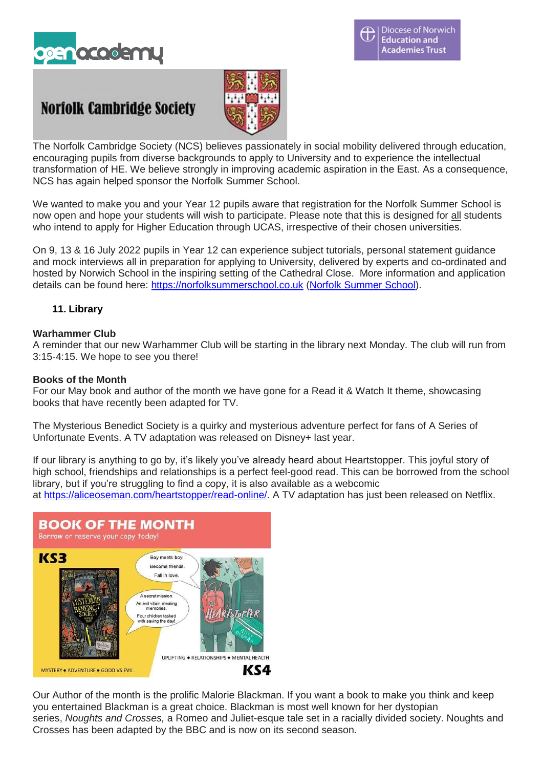

# **Norfolk Cambridge Society**



The Norfolk Cambridge Society (NCS) believes passionately in social mobility delivered through education, encouraging pupils from diverse backgrounds to apply to University and to experience the intellectual transformation of HE. We believe strongly in improving academic aspiration in the East. As a consequence, NCS has again helped sponsor the Norfolk Summer School.

We wanted to make you and your Year 12 pupils aware that registration for the Norfolk Summer School is now open and hope your students will wish to participate. Please note that this is designed for all students who intend to apply for Higher Education through UCAS, irrespective of their chosen universities.

On 9, 13 & 16 July 2022 pupils in Year 12 can experience subject tutorials, personal statement guidance and mock interviews all in preparation for applying to University, delivered by experts and co-ordinated and hosted by Norwich School in the inspiring setting of the Cathedral Close. More information and application details can be found here: [https://norfolksummerschool.co.uk](https://eur01.safelinks.protection.outlook.com/?url=https%3A%2F%2Fnorfolksummerschool.co.uk%2F&data=04%7C01%7Cjpearson%40norwich-school.org.uk%7Cbf6c12bc2fbf4652134308da19519221%7Cee9f181502c544089dab2cb52c8e7fbd%7C1%7C0%7C637850135393239488%7CUnknown%7CTWFpbGZsb3d8eyJWIjoiMC4wLjAwMDAiLCJQIjoiV2luMzIiLCJBTiI6Ik1haWwiLCJXVCI6Mn0%3D%7C3000&sdata=HKLxMMGCuXVZE54q22quetdsRu1LeinXv0iced9gEcw%3D&reserved=0) (Norfolk [Summer](https://eur01.safelinks.protection.outlook.com/?url=https%3A%2F%2Fwww.norfolksummerschool.co.uk%2F&data=04%7C01%7Cjpearson%40norwich-school.org.uk%7Cbf6c12bc2fbf4652134308da19519221%7Cee9f181502c544089dab2cb52c8e7fbd%7C1%7C0%7C637850135393239488%7CUnknown%7CTWFpbGZsb3d8eyJWIjoiMC4wLjAwMDAiLCJQIjoiV2luMzIiLCJBTiI6Ik1haWwiLCJXVCI6Mn0%3D%7C3000&sdata=V0RwtYllVVQJUUoG1GjRlHQlOyenm2ulySW0bDFbTMA%3D&reserved=0) School).

# **11. Library**

## **Warhammer Club**

A reminder that our new Warhammer Club will be starting in the library next Monday. The club will run from 3:15-4:15. We hope to see you there!

## **Books of the Month**

For our May book and author of the month we have gone for a Read it & Watch It theme, showcasing books that have recently been adapted for TV.

The Mysterious Benedict Society is a quirky and mysterious adventure perfect for fans of A Series of Unfortunate Events. A TV adaptation was released on Disney+ last year.

If our library is anything to go by, it's likely you've already heard about Heartstopper. This joyful story of high school, friendships and relationships is a perfect feel-good read. This can be borrowed from the school library, but if you're struggling to find a copy, it is also available as a webcomic at [https://aliceoseman.com/heartstopper/read-online/.](https://aliceoseman.com/heartstopper/read-online/) A TV adaptation has just been released on Netflix.



Our Author of the month is the prolific Malorie Blackman. If you want a book to make you think and keep you entertained Blackman is a great choice. Blackman is most well known for her dystopian series, *Noughts and Crosses,* a Romeo and Juliet-esque tale set in a racially divided society. Noughts and Crosses has been adapted by the BBC and is now on its second season.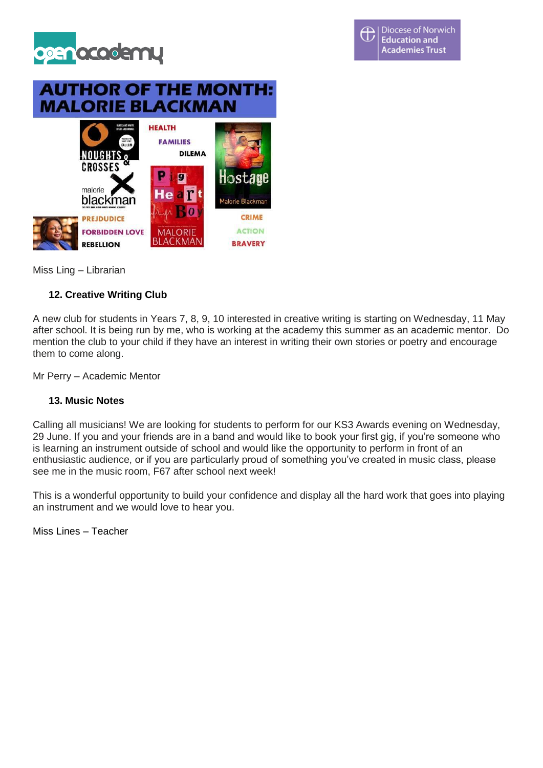

# **AUTHOR OF THE MONTH: MALORIE BLACKMAN**



Miss Ling – Librarian

## **12. Creative Writing Club**

A new club for students in Years 7, 8, 9, 10 interested in creative writing is starting on Wednesday, 11 May after school. It is being run by me, who is working at the academy this summer as an academic mentor. Do mention the club to your child if they have an interest in writing their own stories or poetry and encourage them to come along.

Mr Perry – Academic Mentor

## **13. Music Notes**

Calling all musicians! We are looking for students to perform for our KS3 Awards evening on Wednesday, 29 June. If you and your friends are in a band and would like to book your first gig, if you're someone who is learning an instrument outside of school and would like the opportunity to perform in front of an enthusiastic audience, or if you are particularly proud of something you've created in music class, please see me in the music room, F67 after school next week!

This is a wonderful opportunity to build your confidence and display all the hard work that goes into playing an instrument and we would love to hear you.

Miss Lines – Teacher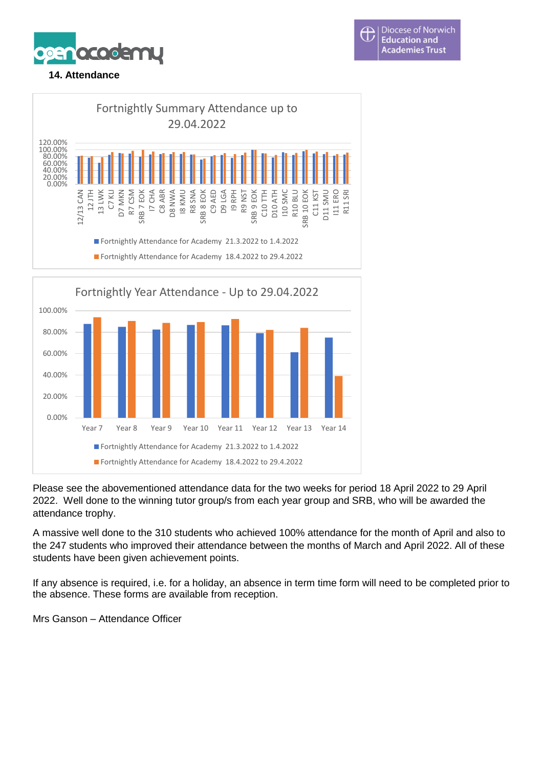





Please see the abovementioned attendance data for the two weeks for period 18 April 2022 to 29 April 2022. Well done to the winning tutor group/s from each year group and SRB, who will be awarded the attendance trophy.

A massive well done to the 310 students who achieved 100% attendance for the month of April and also to the 247 students who improved their attendance between the months of March and April 2022. All of these students have been given achievement points.

If any absence is required, i.e. for a holiday, an absence in term time form will need to be completed prior to the absence. These forms are available from reception.

Mrs Ganson – Attendance Officer